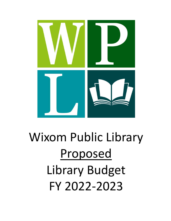

## Wixom Public Library Proposed Library Budget FY 2022-2023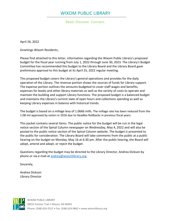## WIXOM PUBLIC LIBRARY

Read. Discover. Connect.

April 26, 2022

Greetings Wixom Residents,

Please find attached to this letter, information regarding the Wixom Public Library's proposed budget for the fiscal year running from July 1, 2022 through June 30, 2023. The Library's Budget Committee has recommended this budget to the Library Board and the Library Board gave preliminary approval to this budget at its April 25, 2022 regular meeting.

This proposed budget covers the Library's general operations and provides for the daily operation of the Library. The revenue portion shows the sources of funds for Library support. The expense portion outlines the amounts budgeted to cover staff wages and benefits, expenses for books and other library materials as well as the variety of costs to operate and maintain the building and support Library functions. The proposed budget is a balanced budget and maintains the Library's current slate of open hours and collections spending as well as keeping Library expenses in balance with historical trends.

The budget is based on a millage levy of 1.0666 mills. The millage rate has been reduced from the 1.08 mil approved by voters in 2016 due to Headlee Rollbacks in previous fiscal years.

This packet contains several items. The public notice for the budget will be run in the legal notice section of the Spinal Column newspaper on Wednesday, May 4, 2022 and will also be posted to the public notice section of the Spinal Column website. The budget is presented to the public for consideration. The Library Board will take comments from the public at a public hearing on the budget on Monday, May 16 at 6:30 pm. After the public hearing, the Board will adopt, amend and adopt, or reject the budget.

Questions regarding the budget may be directed to the Library Director, Andrea Dickson by phone or via e-mail at [andrea@wixomlibrary.org.](mailto:andrea@wixommlibrary.org)

Sincerely,

Andrea Dickson Library Director

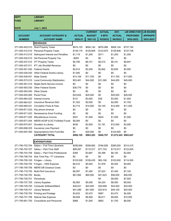| <b>DEPT</b>     | <b>LIBRARY</b>                            |               |                |               |                       |                     |                  |
|-----------------|-------------------------------------------|---------------|----------------|---------------|-----------------------|---------------------|------------------|
| <b>FUND</b>     | <b>LIBRARY</b>                            |               |                |               |                       |                     |                  |
|                 |                                           |               |                |               |                       |                     |                  |
| <b>DATE</b>     | <b>July 1, 2023</b>                       |               |                |               |                       |                     |                  |
|                 |                                           |               | <b>CURRENT</b> | <b>ACTUAL</b> | EST.                  | <b>LIB DIRECTOR</b> | <b>LIB BOARD</b> |
| <b>ACCOUNT</b>  | <b>ACCOUNT CATEGORY &amp;</b>             | <b>ACTUAL</b> | <b>BUDGET</b>  | 8 MTH         | <b>ACTUAL</b>         | <b>PROPOSED</b>     | <b>APPROPR</b>   |
| <b>NUMBER</b>   | <b>ACCOUNT NAME</b>                       | 2020-21       | 2021-22        | 02/28/22      | 06/30/22              | 2022-2023           | 2022-2023        |
|                 | <b>REVENUES</b>                           |               |                |               |                       |                     |                  |
| 271-000-402.010 | <b>Real Property Taxes</b>                | \$674,125     | \$694,144      | \$676,086     | \$694,144             | \$737,192           |                  |
| 271-000-410.010 | <b>Personal Property Taxes</b>            | \$138,175     | \$129,808      | \$123,970     | \$129,808             | \$127,708           |                  |
| 271-000-412.010 | Delinquent Interest and Penalties         | \$1,119       | \$1,200        | \$311         | \$1,200               | \$1,200             |                  |
| 271-000-420.010 | Del Personal Property Tax                 | $-$265$       | \$0            | \$0           | \$0                   | \$0                 |                  |
| 271-000-437.010 | <b>IFT Property Taxes</b>                 | \$5,795       | \$6,741        | \$6,414       | \$6,741               | \$6,847             |                  |
| 271-000-437.011 | <b>IFT Job Shortfall Revenue</b>          | \$0           | \$0            | \$0           | \$0                   | \$0                 |                  |
| 271-000-501.040 | <b>Federal Grants</b>                     | \$2,614       | \$2,200        | \$2,842       | \$2,850               | \$3,000             |                  |
| 271-000-528.030 | <b>Other Federal Grants Library</b>       | \$1,940       | \$0            | \$0           | \$0                   | \$0                 |                  |
| 271-000-539.041 | <b>State Grants</b>                       | \$13,106      | \$11,700       | \$0           | \$11,700              | \$17,000            |                  |
| 271-000-573.010 | Local Community Stabilization             | \$53,481      | \$44,000       | \$31,365      | \$44,000              | \$45,000            |                  |
| 271-000-581.010 | Maple North Service Income                | \$0           | \$0            | \$0           | \$0                   | \$0                 |                  |
| 271-000-583.030 | <b>Other Federal Grants</b>               | \$36,779      | \$0            | \$0           | \$0                   | \$0                 |                  |
| 271-000-583.040 | <b>Other Grants</b>                       | \$0           | \$0            | \$0           | \$0                   | \$0                 |                  |
| 271-000-655.060 | <b>Penal Fines</b>                        | \$23,834      | \$25,000       | \$0           | \$25,000              | \$28,000            |                  |
| 271-000-664.020 | Interest Income                           | \$131         | \$3,000        | \$39          | \$3,000               | \$1,000             |                  |
| 271-000-664.021 | Insurance Revenue Distr                   | \$1,322       | \$2,000        | \$0           | \$2,000               | \$1,700             |                  |
| 271-000-665.021 | <b>Circulation Fines &amp; Fees</b>       | \$3,714       | \$14,000       | \$4,145       | \$14,000              | \$11,000            |                  |
|                 | 271-000-671.022 Pay phone revenue         | \$0           | \$0            | \$0           | \$0                   | \$0                 |                  |
| 271-000-671.023 | Renaissance Zone Funding                  | \$0           | \$0            | \$0           | \$0                   | \$0                 |                  |
| 271-000-671.025 | Miscellaneous Income                      | \$541         | \$1,500        | \$404         | \$1,500               | \$1,000             |                  |
| 271-000-671.044 | <b>MERS HCSP &amp; DC Forfeited Funds</b> | \$9,264       | \$0            | \$0           | \$0                   | \$0                 |                  |
| 271-000-674.021 | Donation to Library                       | \$430         | \$3,000        | \$1,191       | \$12,000              | \$3,000             |                  |
| 271-000-696.025 | Insurance Loss Payment                    | \$0           | \$0            | \$0           | \$0                   | \$0                 |                  |
| 271-000-697.000 | Appropriations from Fund Bal.             | \$0           | \$25,000       | \$0           | \$124,500             | \$0                 |                  |
|                 | <b>CATEGORY TOTAL</b>                     | \$966,105     | \$963,293      | \$846,767     | \$1,072,443 \$983,647 |                     |                  |
|                 | <b>EXPENDITURES</b>                       |               |                |               |                       |                     |                  |
| 271-790-703.704 | Salary -- Full-Time Librarians            | \$299,894     | \$308,892      | \$184,926     | \$285,000             | \$314,215           |                  |
| 271-790-703.707 | Salary -- Part-Time Staff                 | \$99,287      | \$110,517      | \$71,103      | \$110,517             | \$123,000           |                  |
| 271-790-703.708 | Salary -- Part-Time Professional          | \$385         | \$3,687        | \$5,398       | \$6,140               | \$2,000             |                  |
| 271-790-708.704 | Sick Time Pay - FT Librarians             | \$0           | \$0            | \$0           | \$0                   | \$0                 |                  |
| 271-790-709.100 | Fringes -- Library                        | \$103,028     | \$109,435      | \$63,106      | \$103,000             | \$114,500           |                  |
| 271-790-709.705 | Fringes -- HRA Expense                    | \$6,010       | \$5,000        | \$1,979       | \$5,000               | \$5,000             |                  |
| 271-790-709.709 | <b>MERS DB Closeout Costs</b>             | \$0           | \$0            | \$0           | \$0                   | \$0                 |                  |
| 271-790-718.700 | Multi-Peril Insurance                     | \$6,597       | \$7,400        | \$7,023       | \$7,400               | \$7,100             |                  |
| 271-790-726.700 | <b>Books</b>                              | \$61,992      | \$65,000       | \$41,623      | \$56,000              | \$56,500            |                  |
| 271-790-726.701 | Periodicals                               |               |                | \$4           | \$9,000               | \$7,000             |                  |
| 271-790-727.700 | <b>Library Supplies</b>                   | \$5,993       | \$5,000        | \$4,224       | \$6,000               | \$6,000             |                  |
| 271-790-728.700 | <b>Computer Software/Maint</b>            | \$28,021      | \$23,000       | \$20,699      | \$24,500              | \$25,500            |                  |
| 271-790-728.701 | <b>Library Network</b>                    | \$41,486      | \$41,000       | \$33,815      | \$45,100              | \$43,000            |                  |
| 271-790-730.700 | <b>Printing and Postage</b>               | \$3,933       | \$3,472        | \$987         | \$3,472               | \$4,000             |                  |
| 271-790-731.708 | Natural Gas Expense                       | \$9,008       | \$8,900        | \$6,811       | \$8,900               | \$10,000            |                  |
|                 | 271-790-801.700 Consultants and Personnel | \$966         | \$1,000        | \$882         | \$1,700               | \$8,000             |                  |
|                 |                                           |               |                |               |                       |                     |                  |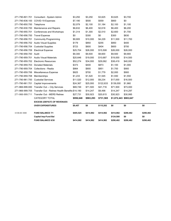|                       | <b>FUND BALANCE 6/30</b>                        | \$414,982 | \$414,982 | \$414,982 | \$290,482             | \$290,482 | \$290,482 |
|-----------------------|-------------------------------------------------|-----------|-----------|-----------|-----------------------|-----------|-----------|
|                       | <b>Capital Imp-Fund Bal</b>                     |           |           |           | \$124,500             | \$0       | \$0       |
| 10 00-00 3000         | <b>FUND BALANCE 7/1</b>                         | \$405,525 | \$414,982 | \$414,982 | \$414,982             | \$290,482 | \$290,482 |
|                       | <b>OVER EXPENDITURES</b>                        | \$9,457   | \$0       | \$115,202 | \$0                   | \$0       | \$0       |
|                       | <b>EXCESS (DEFICIT) OF REVENUES</b>             |           |           |           |                       |           |           |
|                       | CATEGORY TOTAL                                  | \$956,648 | \$963,293 | \$731,565 | \$1,072,443 \$983,647 |           |           |
| 271-966-999.711       | <b>Transfer Out - MERS Retiree</b>              | \$27,731  | \$30,923  | \$20,615  | \$30,923              | \$30,995  |           |
| 271-966-999.705       | Transfer Out - Retiree Health Benefits \$14,190 |           | \$14,247  | \$9,498   | \$14,247              | \$14,297  |           |
| 271-966-999.000       | Transfer Out -- City Services                   | \$69,749  | \$71,500  | \$41,716  | \$71,500              | \$73,000  |           |
| 271-790-961.701       | Capital Improvements                            | \$24,367  | \$25,000  | \$122,633 | \$139,000             | \$1,960   |           |
| 271-790-961.700       | <b>Custodial Services</b>                       | \$11,520  | \$12,000  | \$9,234   | \$17,000              | \$16,500  |           |
| 271-790-959.708       | Memberships                                     | \$1,233   | \$1,520   | \$1,545   | \$1,550               | \$1,550   |           |
| 271-790-959.706       | Miscellaneous Expense                           | \$825     | \$700     | \$1,779   | \$2,000               | \$900     |           |
| 271-790-959.704       | Collections - Realia                            | \$864     | \$900     | \$851     | \$1,700               | \$900     |           |
| 271-790-959.703       | <b>Donated Materials</b>                        | \$373     | \$400     | \$873     | \$1,100               | \$1,000   |           |
| 271-790-959.702       | <b>Electronic Resources</b>                     | \$52,274  | \$34,000  | \$29,062  | \$38,419              | \$40,000  |           |
| 271-790-959.701       | <b>Audio Visual Materials</b>                   | \$20,646  | \$19,000  | \$10,687  | \$19,000              | \$14,500  |           |
| 271-790-958.700 Audit |                                                 | \$9,300   | \$9,500   | \$9,600   | \$9,500               | \$9,900   |           |
| 271-790-956.709       | <b>Electrical Expense</b>                       | \$25,704  | \$26,000  | \$15,508  | \$26,000              | \$26,000  |           |
| 271-790-956.704       | <b>Custodial Supplies</b>                       | \$723     | \$600     | \$404     | \$600                 | \$700     |           |
| 271-790-956.702       | <b>Audio Visual Supplies</b>                    | \$179     | \$850     | \$255     | \$850                 | \$400     |           |
| 271-790-956.701       | <b>Community Programming</b>                    | \$9,905   | \$10,000  | \$4,229   | \$11,500              | \$11,700  |           |
| 271-790-956.700       | <b>Travel Expense</b>                           | \$0       | \$300     | \$0       | \$300                 | \$830     |           |
| 271-790-955.701       | Conferences and Workshops                       | \$1,314   | \$1,300   | \$2,510   | \$2,600               | \$1,700   |           |
| 271-790-930.700       | Maintenance and Repairs                         | \$6,632   | \$6,400   | \$2,618   | \$6,400               | \$6,200   |           |
| 271-790-850.700       | Telephone                                       | \$2,079   | \$2,100   | \$1,184   | \$2,100               | \$1,100   |           |
| 271-790-836.100       | COVID-19 Expenses                               | \$7,190   | \$500     | \$559     | \$800                 | \$0       |           |
| 271-790-801.701       | Consultant - System Admin                       | \$3,250   | \$3,250   | \$3,625   | \$3,625               | \$3,700   |           |